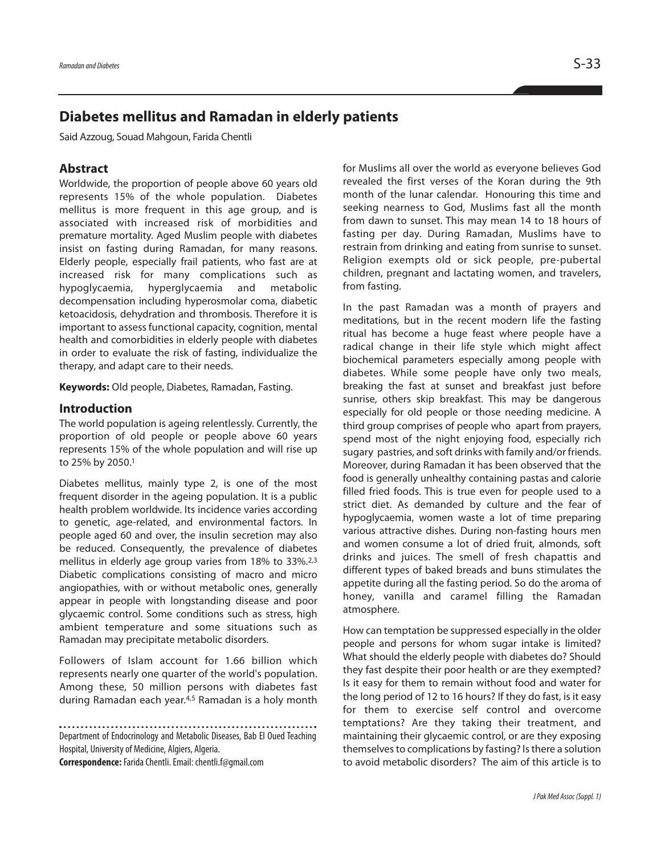# **Diabetes mellitus and Ramadan in elderly patients**

Said Azzoug, Souad Mahgoun, Farida Chentli

### **Abstract**

Worldwide, the proportion of people above 60 years old represents 15% of the whole population. Diabetes mellitus is more frequent in this age group, and is associated with increased risk of morbidities and premature mortality. Aged Muslim people with diabetes insist on fasting during Ramadan, for many reasons. Elderly people, especially frail patients, who fast are at increased risk for many complications such as hypoglycaemia, hyperglycaemia and metabolic decompensation including hyperosmolar coma, diabetic ketoacidosis, dehydration and thrombosis. Therefore it is important to assess functional capacity, cognition, mental health and comorbidities in elderly people with diabetes in order to evaluate the risk of fasting, individualize the therapy, and adapt care to their needs.

**Keywords:** Old people, Diabetes, Ramadan, Fasting.

#### **Introduction**

The world population is ageing relentlessly. Currently, the proportion of old people or people above 60 years represents 15% of the whole population and will rise up to 25% by 2050. 1

Diabetes mellitus, mainly type 2, is one of the most frequent disorder in the ageing population. It is a public health problem worldwide. Its incidence varies according to genetic, age-related, and environmental factors. In people aged 60 and over, the insulin secretion may also be reduced. Consequently, the prevalence of diabetes mellitus in elderly age group varies from 18% to 33%. 2,3 Diabetic complications consisting of macro and micro angiopathies, with or without metabolic ones, generally appear in people with longstanding disease and poor glycaemic control. Some conditions such as stress, high ambient temperature and some situations such as Ramadan may precipitate metabolic disorders.

Followers of Islam account for 1.66 billion which represents nearly one quarter of the world's population. Among these, 50 million persons with diabetes fast during Ramadan each year. 4,5 Ramadan is a holy month

Department of Endocrinology and Metabolic Diseases, Bab El Oued Teaching Hospital, University of Medicine, Algiers, Algeria.

**Correspondence:** FaridaChentli.Email: chentli.f@gmail.com

for Muslims all over the world as everyone believes God revealed the first verses of the Koran during the 9th month of the lunar calendar. Honouring this time and seeking nearness to God, Muslims fast all the month from dawn to sunset. This may mean 14 to 18 hours of fasting per day. During Ramadan, Muslims have to restrain from drinking and eating from sunrise to sunset. Religion exempts old or sick people, pre-pubertal children, pregnant and lactating women, and travelers, from fasting.

In the past Ramadan was a month of prayers and meditations, but in the recent modern life the fasting ritual has become a huge feast where people have a radical change in their life style which might affect biochemical parameters especially among people with diabetes. While some people have only two meals, breaking the fast at sunset and breakfast just before sunrise, others skip breakfast. This may be dangerous especially for old people or those needing medicine. A third group comprises of people who apart from prayers, spend most of the night enjoying food, especially rich sugary pastries, and soft drinks with family and/or friends. Moreover, during Ramadan it has been observed that the food is generally unhealthy containing pastas and calorie filled fried foods. This is true even for people used to a strict diet. As demanded by culture and the fear of hypoglycaemia, women waste a lot of time preparing various attractive dishes. During non-fasting hours men and women consume a lot of dried fruit, almonds, soft drinks and juices. The smell of fresh chapattis and different types of baked breads and buns stimulates the appetite during all the fasting period. So do the aroma of honey, vanilla and caramel filling the Ramadan atmosphere.

How can temptation be suppressed especially in the older people and persons for whom sugar intake is limited? What should the elderly people with diabetes do? Should they fast despite their poor health or are they exempted? Is it easy for them to remain without food and water for the long period of 12 to 16 hours? If they do fast, is it easy for them to exercise self control and overcome temptations? Are they taking their treatment, and maintaining their glycaemic control, or are they exposing themselves to complications by fasting? Is there a solution to avoid metabolic disorders? The aim of this article is to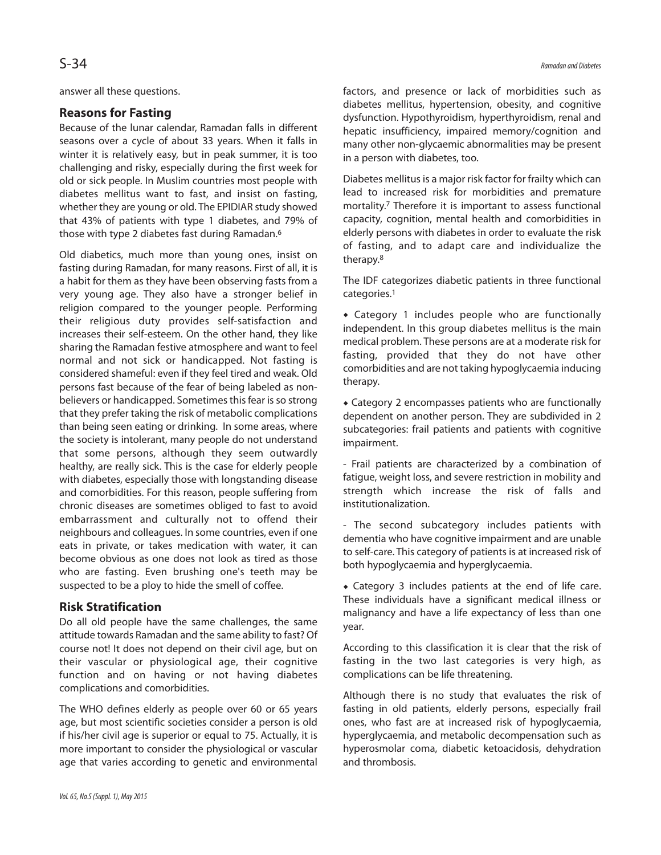answer all these questions.

# **Reasons for Fasting**

Because of the lunar calendar, Ramadan falls in different seasons over a cycle of about 33 years. When it falls in winter it is relatively easy, but in peak summer, it is too challenging and risky, especially during the first week for old or sick people. In Muslim countries most people with diabetes mellitus want to fast, and insist on fasting, whether they are young or old. The EPIDIAR study showed that 43% of patients with type 1 diabetes, and 79% of those with type 2 diabetes fast during Ramadan. 6

Old diabetics, much more than young ones, insist on fasting during Ramadan, for many reasons. First of all, it is a habit for them as they have been observing fasts from a very young age. They also have a stronger belief in religion compared to the younger people. Performing their religious duty provides self-satisfaction and increases their self-esteem. On the other hand, they like sharing the Ramadan festive atmosphere and want to feel normal and not sick or handicapped. Not fasting is considered shameful: even if they feel tired and weak. Old persons fast because of the fear of being labeled as nonbelievers or handicapped. Sometimes this fear is so strong that they prefer taking the risk of metabolic complications than being seen eating or drinking. In some areas, where the society is intolerant, many people do not understand that some persons, although they seem outwardly healthy, are really sick. This is the case for elderly people with diabetes, especially those with longstanding disease and comorbidities. For this reason, people suffering from chronic diseases are sometimes obliged to fast to avoid embarrassment and culturally not to offend their neighbours and colleagues. In some countries, even if one eats in private, or takes medication with water, it can become obvious as one does not look as tired as those who are fasting. Even brushing one's teeth may be suspected to be a ploy to hide the smell of coffee.

# **Risk Stratification**

Do all old people have the same challenges, the same attitude towards Ramadan and the same ability to fast? Of course not! It does not depend on their civil age, but on their vascular or physiological age, their cognitive function and on having or not having diabetes complications and comorbidities.

The WHO defines elderly as people over 60 or 65 years age, but most scientific societies consider a person is old if his/her civil age is superior or equal to 75. Actually, it is more important to consider the physiological or vascular age that varies according to genetic and environmental factors, and presence or lack of morbidities such as diabetes mellitus, hypertension, obesity, and cognitive dysfunction. Hypothyroidism, hyperthyroidism, renal and hepatic insufficiency, impaired memory/cognition and many other non-glycaemic abnormalities may be present in a person with diabetes, too.

Diabetes mellitus is a major risk factor for frailty which can lead to increased risk for morbidities and premature mortality. <sup>7</sup> Therefore it is important to assess functional capacity, cognition, mental health and comorbidities in elderly persons with diabetes in order to evaluate the risk of fasting, and to adapt care and individualize the therapy. 8

The IDF categorizes diabetic patients in three functional categories. 1

 Category 1 includes people who are functionally independent. In this group diabetes mellitus is the main medical problem. These persons are at a moderate risk for fasting, provided that they do not have other comorbidities and are not taking hypoglycaemia inducing therapy.

 Category 2 encompasses patients who are functionally dependent on another person. They are subdivided in 2 subcategories: frail patients and patients with cognitive impairment.

- Frail patients are characterized by a combination of fatigue, weight loss, and severe restriction in mobility and strength which increase the risk of falls and institutionalization.

- The second subcategory includes patients with dementia who have cognitive impairment and are unable to self-care. This category of patients is at increased risk of both hypoglycaemia and hyperglycaemia.

 Category 3 includes patients at the end of life care. These individuals have a significant medical illness or malignancy and have a life expectancy of less than one year.

According to this classification it is clear that the risk of fasting in the two last categories is very high, as complications can be life threatening.

Although there is no study that evaluates the risk of fasting in old patients, elderly persons, especially frail ones, who fast are at increased risk of hypoglycaemia, hyperglycaemia, and metabolic decompensation such as hyperosmolar coma, diabetic ketoacidosis, dehydration and thrombosis.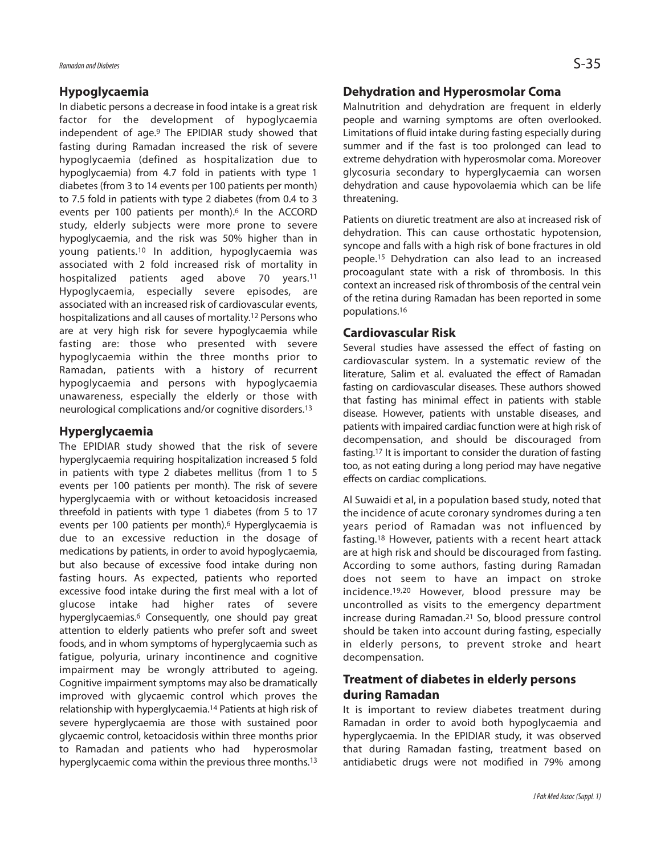#### **Hypoglycaemia**

In diabetic persons a decrease in food intake is a great risk factor for the development of hypoglycaemia independent of age. <sup>9</sup> The EPIDIAR study showed that fasting during Ramadan increased the risk of severe hypoglycaemia (defined as hospitalization due to hypoglycaemia) from 4.7 fold in patients with type 1 diabetes (from 3 to 14 events per 100 patients per month) to 7.5 fold in patients with type 2 diabetes (from 0.4 to 3 events per 100 patients per month). <sup>6</sup> In the ACCORD study, elderly subjects were more prone to severe hypoglycaemia, and the risk was 50% higher than in young patients. <sup>10</sup> In addition, hypoglycaemia was associated with 2 fold increased risk of mortality in hospitalized patients aged above 70 years. 11 Hypoglycaemia, especially severe episodes, are associated with an increased risk of cardiovascular events, hospitalizations and all causes of mortality. <sup>12</sup> Persons who are at very high risk for severe hypoglycaemia while fasting are: those who presented with severe hypoglycaemia within the three months prior to Ramadan, patients with a history of recurrent hypoglycaemia and persons with hypoglycaemia unawareness, especially the elderly or those with neurological complications and/or cognitive disorders. 13

#### **Hyperglycaemia**

The EPIDIAR study showed that the risk of severe hyperglycaemia requiring hospitalization increased 5 fold in patients with type 2 diabetes mellitus (from 1 to 5 events per 100 patients per month). The risk of severe hyperglycaemia with or without ketoacidosis increased threefold in patients with type 1 diabetes (from 5 to 17 events per 100 patients per month). <sup>6</sup> Hyperglycaemia is due to an excessive reduction in the dosage of medications by patients, in order to avoid hypoglycaemia, but also because of excessive food intake during non fasting hours. As expected, patients who reported excessive food intake during the first meal with a lot of glucose intake had higher rates of severe hyperglycaemias. <sup>6</sup> Consequently, one should pay great attention to elderly patients who prefer soft and sweet foods, and in whom symptoms of hyperglycaemia such as fatigue, polyuria, urinary incontinence and cognitive impairment may be wrongly attributed to ageing. Cognitive impairment symptoms may also be dramatically improved with glycaemic control which proves the relationship with hyperglycaemia. <sup>14</sup> Patients at high risk of severe hyperglycaemia are those with sustained poor glycaemic control, ketoacidosis within three months prior to Ramadan and patients who had hyperosmolar hyperglycaemic coma within the previous three months. 13

### **Dehydration and Hyperosmolar Coma**

Malnutrition and dehydration are frequent in elderly people and warning symptoms are often overlooked. Limitations of fluid intake during fasting especially during summer and if the fast is too prolonged can lead to extreme dehydration with hyperosmolar coma. Moreover glycosuria secondary to hyperglycaemia can worsen dehydration and cause hypovolaemia which can be life threatening.

Patients on diuretic treatment are also at increased risk of dehydration. This can cause orthostatic hypotension, syncope and falls with a high risk of bone fractures in old people. <sup>15</sup> Dehydration can also lead to an increased procoagulant state with a risk of thrombosis. In this context an increased risk of thrombosis of the central vein of the retina during Ramadan has been reported in some populations. 16

### **Cardiovascular Risk**

Several studies have assessed the effect of fasting on cardiovascular system. In a systematic review of the literature, Salim et al. evaluated the effect of Ramadan fasting on cardiovascular diseases. These authors showed that fasting has minimal effect in patients with stable disease. However, patients with unstable diseases, and patients with impaired cardiac function were at high risk of decompensation, and should be discouraged from fasting. <sup>17</sup> It is important to consider the duration of fasting too, as not eating during a long period may have negative effects on cardiac complications.

Al Suwaidi et al, in a population based study, noted that the incidence of acute coronary syndromes during a ten years period of Ramadan was not influenced by fasting. <sup>18</sup> However, patients with a recent heart attack are at high risk and should be discouraged from fasting. According to some authors, fasting during Ramadan does not seem to have an impact on stroke incidence.19,20 However, blood pressure may be uncontrolled as visits to the emergency department increase during Ramadan. <sup>21</sup> So, blood pressure control should be taken into account during fasting, especially in elderly persons, to prevent stroke and heart decompensation.

## **Treatment of diabetes in elderly persons during Ramadan**

It is important to review diabetes treatment during Ramadan in order to avoid both hypoglycaemia and hyperglycaemia. In the EPIDIAR study, it was observed that during Ramadan fasting, treatment based on antidiabetic drugs were not modified in 79% among